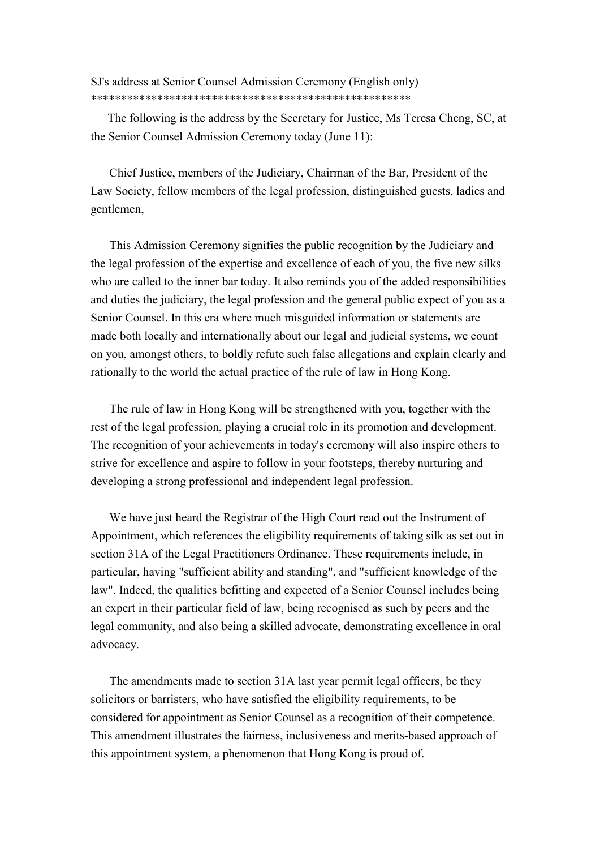# SJ's address at Senior Counsel Admission Ceremony (English only) \*\*\*\*\*\*\*\*\*\*\*\*\*\*\*\*\*\*\*\*\*\*\*\*\*\*\*\*\*\*\*\*\*\*\*\*\*\*\*\*\*\*\*\*\*\*\*\*\*\*\*\*\*

The following is the address by the Secretary for Justice, Ms Teresa Cheng, SC, at the Senior Counsel Admission Ceremony today (June 11):

Chief Justice, members of the Judiciary, Chairman of the Bar, President of the Law Society, fellow members of the legal profession, distinguished guests, ladies and gentlemen,

This Admission Ceremony signifies the public recognition by the Judiciary and the legal profession of the expertise and excellence of each of you, the five new silks who are called to the inner bar today. It also reminds you of the added responsibilities and duties the judiciary, the legal profession and the general public expect of you as a Senior Counsel. In this era where much misguided information or statements are made both locally and internationally about our legal and judicial systems, we count on you, amongst others, to boldly refute such false allegations and explain clearly and rationally to the world the actual practice of the rule of law in Hong Kong.

The rule of law in Hong Kong will be strengthened with you, together with the rest of the legal profession, playing a crucial role in its promotion and development. The recognition of your achievements in today's ceremony will also inspire others to strive for excellence and aspire to follow in your footsteps, thereby nurturing and developing a strong professional and independent legal profession.

We have just heard the Registrar of the High Court read out the Instrument of Appointment, which references the eligibility requirements of taking silk as set out in section 31A of the Legal Practitioners Ordinance. These requirements include, in particular, having "sufficient ability and standing", and "sufficient knowledge of the law". Indeed, the qualities befitting and expected of a Senior Counsel includes being an expert in their particular field of law, being recognised as such by peers and the legal community, and also being a skilled advocate, demonstrating excellence in oral advocacy.

The amendments made to section 31A last year permit legal officers, be they solicitors or barristers, who have satisfied the eligibility requirements, to be considered for appointment as Senior Counsel as a recognition of their competence. This amendment illustrates the fairness, inclusiveness and merits-based approach of this appointment system, a phenomenon that Hong Kong is proud of.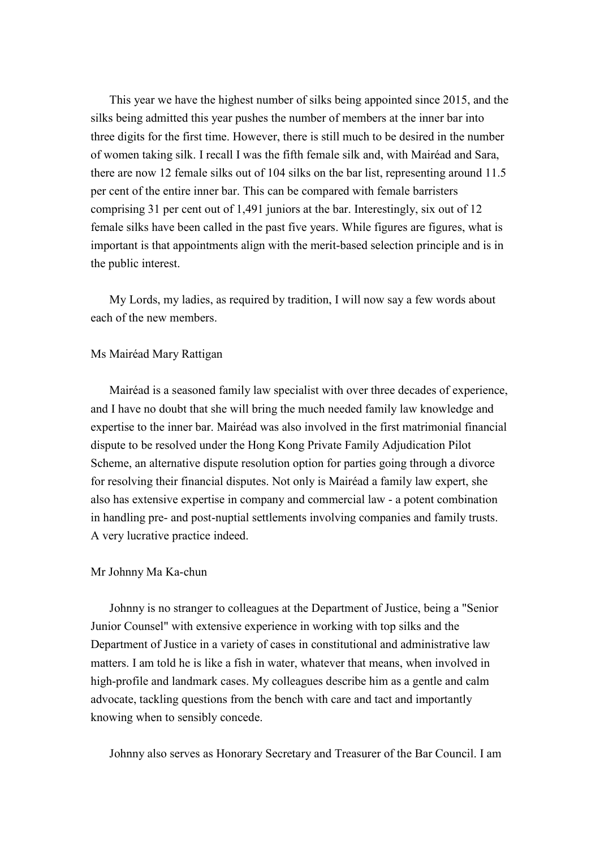This year we have the highest number of silks being appointed since 2015, and the silks being admitted this year pushes the number of members at the inner bar into three digits for the first time. However, there is still much to be desired in the number of women taking silk. I recall I was the fifth female silk and, with Mairéad and Sara, there are now 12 female silks out of 104 silks on the bar list, representing around 11.5 per cent of the entire inner bar. This can be compared with female barristers comprising 31 per cent out of 1,491 juniors at the bar. Interestingly, six out of 12 female silks have been called in the past five years. While figures are figures, what is important is that appointments align with the merit-based selection principle and is in the public interest.

My Lords, my ladies, as required by tradition, I will now say a few words about each of the new members.

## Ms Mairéad Mary Rattigan

Mairéad is a seasoned family law specialist with over three decades of experience, and I have no doubt that she will bring the much needed family law knowledge and expertise to the inner bar. Mairéad was also involved in the first matrimonial financial dispute to be resolved under the Hong Kong Private Family Adjudication Pilot Scheme, an alternative dispute resolution option for parties going through a divorce for resolving their financial disputes. Not only is Mairéad a family law expert, she also has extensive expertise in company and commercial law - a potent combination in handling pre- and post-nuptial settlements involving companies and family trusts. A very lucrative practice indeed.

## Mr Johnny Ma Ka-chun

Johnny is no stranger to colleagues at the Department of Justice, being a "Senior Junior Counsel" with extensive experience in working with top silks and the Department of Justice in a variety of cases in constitutional and administrative law matters. I am told he is like a fish in water, whatever that means, when involved in high-profile and landmark cases. My colleagues describe him as a gentle and calm advocate, tackling questions from the bench with care and tact and importantly knowing when to sensibly concede.

Johnny also serves as Honorary Secretary and Treasurer of the Bar Council. I am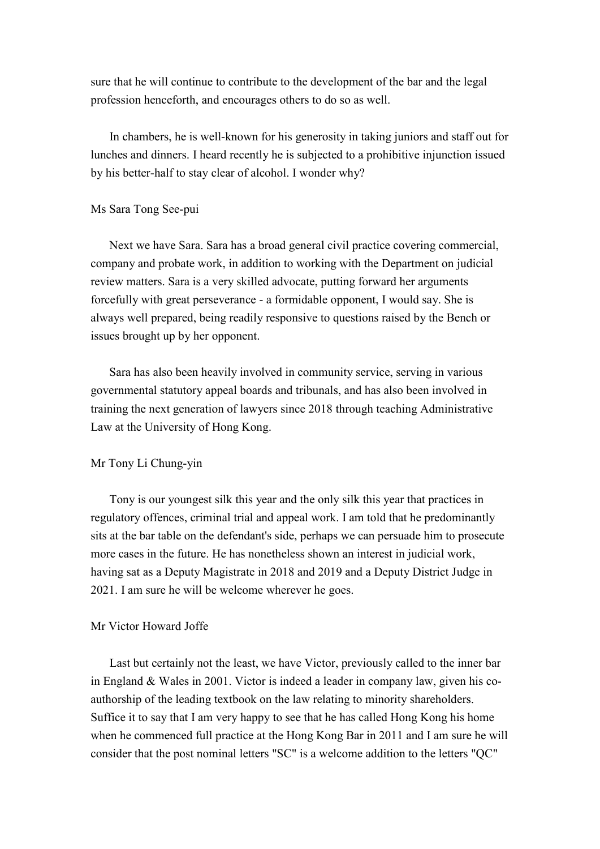sure that he will continue to contribute to the development of the bar and the legal profession henceforth, and encourages others to do so as well.

In chambers, he is well-known for his generosity in taking juniors and staff out for lunches and dinners. I heard recently he is subjected to a prohibitive injunction issued by his better-half to stay clear of alcohol. I wonder why?

#### Ms Sara Tong See-pui

Next we have Sara. Sara has a broad general civil practice covering commercial, company and probate work, in addition to working with the Department on judicial review matters. Sara is a very skilled advocate, putting forward her arguments forcefully with great perseverance - a formidable opponent, I would say. She is always well prepared, being readily responsive to questions raised by the Bench or issues brought up by her opponent.

Sara has also been heavily involved in community service, serving in various governmental statutory appeal boards and tribunals, and has also been involved in training the next generation of lawyers since 2018 through teaching Administrative Law at the University of Hong Kong.

## Mr Tony Li Chung-yin

Tony is our youngest silk this year and the only silk this year that practices in regulatory offences, criminal trial and appeal work. I am told that he predominantly sits at the bar table on the defendant's side, perhaps we can persuade him to prosecute more cases in the future. He has nonetheless shown an interest in judicial work, having sat as a Deputy Magistrate in 2018 and 2019 and a Deputy District Judge in 2021. I am sure he will be welcome wherever he goes.

## Mr Victor Howard Joffe

Last but certainly not the least, we have Victor, previously called to the inner bar in England & Wales in 2001. Victor is indeed a leader in company law, given his coauthorship of the leading textbook on the law relating to minority shareholders. Suffice it to say that I am very happy to see that he has called Hong Kong his home when he commenced full practice at the Hong Kong Bar in 2011 and I am sure he will consider that the post nominal letters "SC" is a welcome addition to the letters "QC"